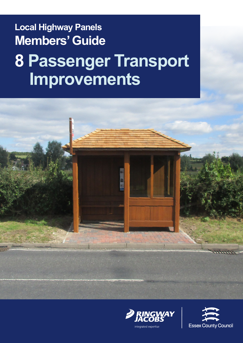# **Local Highway Panels Members' Guide 8 Passenger Transport Improvements**





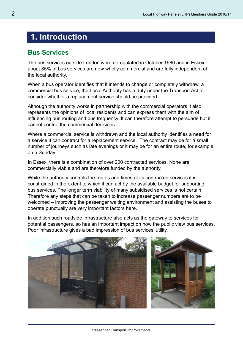## **1. Introduction**

#### **Bus Services**

The bus services outside London were deregulated in October 1986 and in Essex about 85% of bus services are now wholly commercial and are fully independent of the local authority.

When a bus operator identifies that it intends to change or completely withdraw, a commercial bus service, the Local Authority has a duty under the Transport Act to consider whether a replacement service should be provided.

Although the authority works in partnership with the commercial operators it also represents the opinions of local residents and can express them with the aim of influencing bus routing and bus frequency. It can therefore attempt to persuade but it cannot control the commercial decisions.

Where a commercial service is withdrawn and the local authority identifies a need for a service it can contract for a replacement service. The contract may be for a small number of journeys such as late evenings or it may be for an entire route, for example on a Sunday.

In Essex, there is a combination of over 200 contracted services. None are commercially viable and are therefore funded by the authority.

While the authority controls the routes and times of its contracted services it is constrained in the extent to which it can act by the available budget for supporting bus services. The longer term viability of many subsidised services is not certain. Therefore any steps that can be taken to increase passenger numbers are to be welcomed – improving the passenger waiting environment and assisting the buses to operate punctually are very important factors here.

In addition such roadside infrastructure also acts as the gateway to services for potential passengers, so has an important impact on how the public view bus services. Poor infrastructure gives a bad impression of bus services' utility.

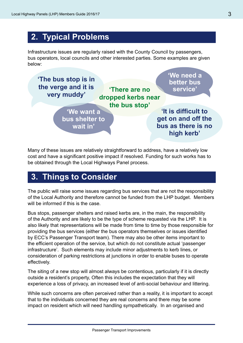## **2. Typical Problems**

Infrastructure issues are regularly raised with the County Council by passengers, bus operators, local councils and other interested parties. Some examples are given below:



Many of these issues are relatively straightforward to address, have a relatively low cost and have a significant positive impact if resolved. Funding for such works has to be obtained through the Local Highways Panel process.

#### **3. Things to Consider**

The public will raise some issues regarding bus services that are not the responsibility of the Local Authority and therefore cannot be funded from the LHP budget. Members will be informed if this is the case.

Bus stops, passenger shelters and raised kerbs are, in the main, the responsibility of the Authority and are likely to be the type of scheme requested via the LHP. It is also likely that representations will be made from time to time by those responsible for providing the bus services (either the bus operators themselves or issues identified by ECC's Passenger Transport team). There may also be other items important to the efficient operation of the service, but which do not constitute actual 'passenger infrastructure'. Such elements may include minor adjustments to kerb lines, or consideration of parking restrictions at junctions in order to enable buses to operate effectively.

The siting of a new stop will almost always be contentious, particularly if it is directly outside a resident's property, Often this includes the expectation that they will experience a loss of privacy, an increased level of anti-social behaviour and littering.

While such concerns are often perceived rather than a reality, it is important to accept that to the individuals concerned they are real concerns and there may be some impact on resident which will need handling sympathetically. In an organised and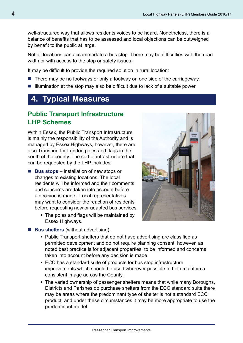well-structured way that allows residents voices to be heard. Nonetheless, there is a balance of benefits that has to be assessed and local objections can be outweighed by benefit to the public at large.

Not all locations can accommodate a bus stop. There may be difficulties with the road width or with access to the stop or safety issues.

It may be difficult to provide the required solution in rural location:

- $\blacksquare$  There may be no footways or only a footway on one side of the carriageway.
- $\blacksquare$  Illumination at the stop may also be difficult due to lack of a suitable power

## **4. Typical Measures**

#### **Public Transport Infrastructure LHP Schemes**

Within Essex, the Public Transport Infrastructure is mainly the responsibility of the Authority and is managed by Essex Highways, however, there are also Transport for London poles and flags in the south of the county. The sort of infrastructure that can be requested by the LHP includes:

- Bus stops installation of new stops or changes to existing locations. The local residents will be informed and their comments and concerns are taken into account before a decision is made. Local representatives may want to consider the reaction of residents before requesting new or adapted bus services.
	- The poles and flags will be maintained by Essex Highways.



**Bus shelters** (without advertising).

- Public Transport shelters that do not have advertising are classified as permitted development and do not require planning consent, however, as noted best practice is for adjacent properties to be informed and concerns taken into account before any decision is made.
- ECC has a standard suite of products for bus stop infrastructure improvements which should be used wherever possible to help maintain a consistent image across the County.
- The varied ownership of passenger shelters means that while many Boroughs, Districts and Parishes do purchase shelters from the ECC standard suite there may be areas where the predominant type of shelter is not a standard ECC product, and under these circumstances it may be more appropriate to use the predominant model.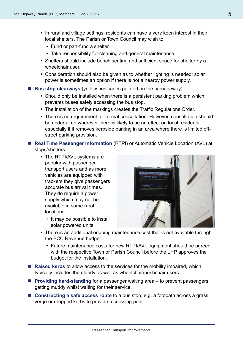- In rural and village settings, residents can have a very keen interest in their local shelters. The Parish or Town Council may wish to:
	- Fund or part-fund a shelter.
	- Take responsibility for cleaning and general maintenance.
- Shelters should include bench seating and sufficient space for shelter by a wheelchair user.
- Consideration should also be given as to whether lighting is needed: solar power is sometimes an option if there is not a nearby power supply.
- Bus stop clearways (yellow bus cages painted on the carriageway)
	- Should only be installed when there is a persistent parking problem which prevents buses safely accessing the bus stop.
	- The installation of the markings creates the Traffic Regulations Order.
	- There is no requirement for formal consultation. However, consultation should be undertaken wherever there is likely to be an effect on local residents, especially if it removes kerbside parking in an area where there is limited offstreet parking provision.
- Real Time Passenger Information (RTPI) or Automatic Vehicle Location (AVL) at stops/shelters.
	- The RTPI/AVL systems are popular with passenger transport users and as more vehicles are equipped with trackers they give passengers accurate bus arrival times. They do require a power supply which may not be available in some rural locations.
		- It may be possible to install solar powered units



- There is an additional ongoing maintenance cost that is not available through the ECC Revenue budget.
	- Future maintenance costs for new RTPI/AVL equipment should be agreed with the respective Town or Parish Council before the LHP approves the budget for the installation.
- **Raised kerbs** to allow access to the services for the mobility impaired, which typically includes the elderly as well as wheelchair/pushchair users.
- **Providing hard-standing** for a passenger waiting area to prevent passengers getting muddy whilst waiting for their service.
- **Constructing a safe access route** to a bus stop, e.g. a footpath across a grass verge or dropped kerbs to provide a crossing point.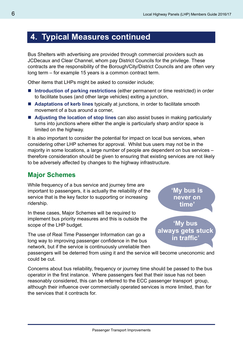## **4. Typical Measures continued**

Bus Shelters with advertising are provided through commercial providers such as JCDecaux and Clear Channel, whom pay District Councils for the privilege. These contracts are the responsibility of the Borough/City/District Councils and are often very long term – for example 15 years is a common contract term.

Other items that LHPs might be asked to consider include;

- Introduction of parking restrictions (either permanent or time restricted) in order to facilitate buses (and other large vehicles) exiting a junction,
- **Adaptations of kerb lines** typically at junctions, in order to facilitate smooth movement of a bus around a corner,
- **Adjusting the location of stop lines** can also assist buses in making particularly turns into junctions where either the angle is particularly sharp and/or space is limited on the highway.

It is also important to consider the potential for impact on local bus services, when considering other LHP schemes for approval. Whilst bus users may not be in the majority in some locations, a large number of people are dependent on bus services – therefore consideration should be given to ensuring that existing services are not likely to be adversely affected by changes to the highway infrastructure.

#### **Major Schemes**

While frequency of a bus service and journey time are important to passengers, it is actually the reliability of the service that is the key factor to supporting or increasing ridership.

In these cases, Major Schemes will be required to implement bus priority measures and this is outside the scope of the LHP budget.

The use of Real Time Passenger Information can go a long way to improving passenger confidence in the bus network, but if the service is continuously unreliable then **'My bus is never on time'**

**'My bus always gets stuck in traffic'**

passengers will be deterred from using it and the service will become uneconomic and could be cut.

Concerns about bus reliability, frequency or journey time should be passed to the bus operator in the first instance. Where passengers feel that their issue has not been reasonably considered, this can be referred to the ECC passenger transport group, although their influence over commercially operated services is more limited, than for the services that it contracts for.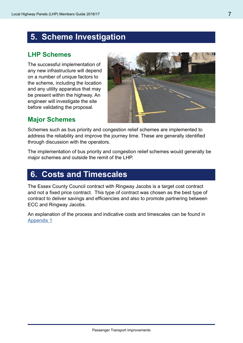## **5. Scheme Investigation**

#### **LHP Schemes**

The successful implementation of any new infrastructure will depend on a number of unique factors to the scheme, including the location and any utility apparatus that may be present within the highway. An engineer will investigate the site before validating the proposal.



#### **Major Schemes**

Schemes such as bus priority and congestion relief schemes are implemented to address the reliability and improve the journey time. These are generally identified through discussion with the operators.

The implementation of bus priority and congestion relief schemes would generally be major schemes and outside the remit of the LHP.

#### **6. Costs and Timescales**

The Essex County Council contract with Ringway Jacobs is a target cost contract and not a fixed price contract. This type of contract was chosen as the best type of contract to deliver savings and efficiencies and also to promote partnering between ECC and Ringway Jacobs.

An explanation of the process and indicative costs and timescales can be found in [Appendix 1](http://www.essexhighways.org/uploads/LHP/MG/15_ECCLHPmembersGuideAPPENDIX1a.pdf?subject=)